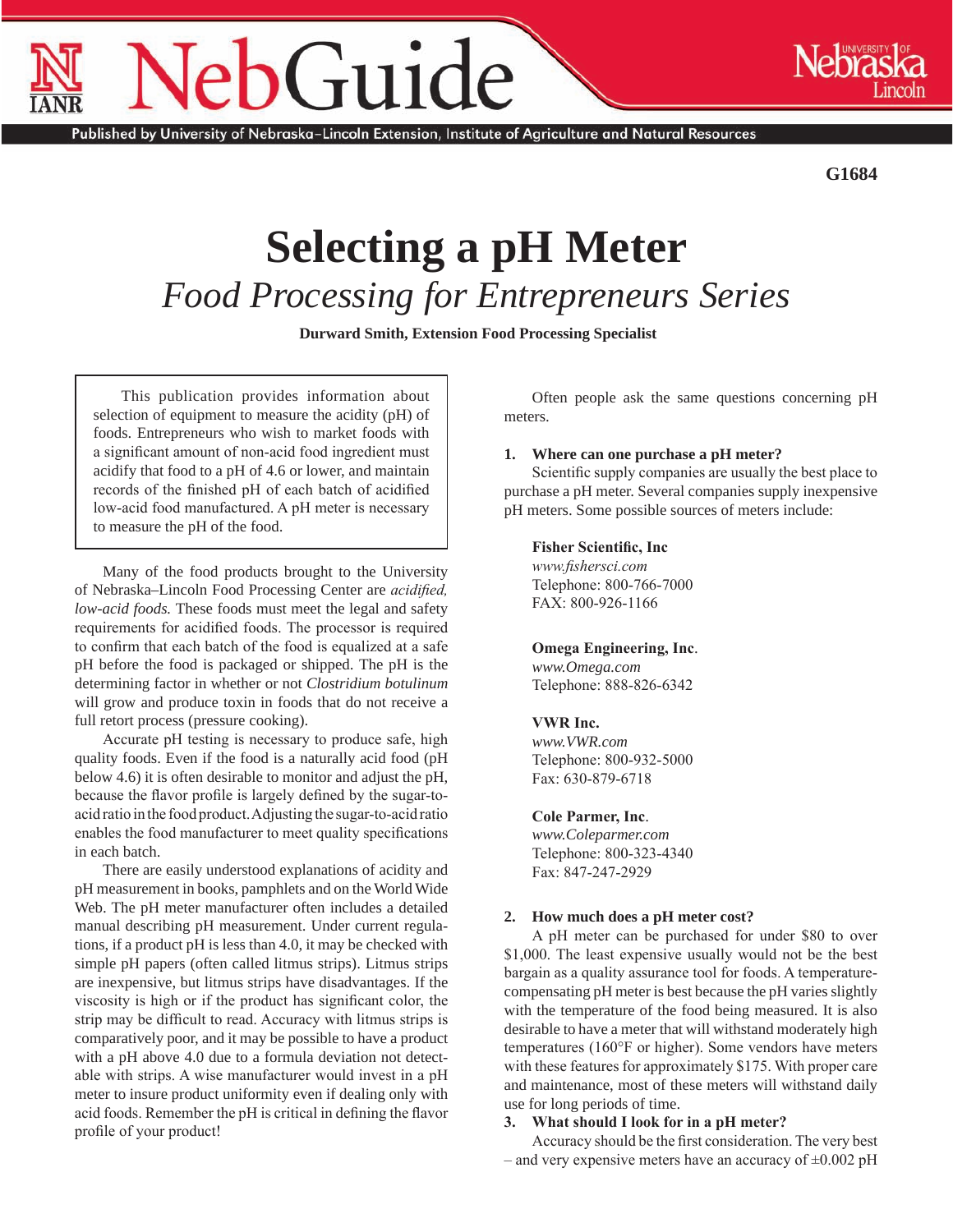# Guide

Published by University of Nebraska–Lincoln Extension, Institute of Agriculture and Natural Resources

**G1684**

## **Selecting a pH Meter** *Food Processing for Entrepreneurs Series*

 **Durward Smith, Extension Food Processing Specialist**

This publication provides information about selection of equipment to measure the acidity (pH) of foods. Entrepreneurs who wish to market foods with a significant amount of non-acid food ingredient must acidify that food to a pH of 4.6 or lower, and maintain records of the finished pH of each batch of acidified low-acid food manufactured. A pH meter is necessary to measure the pH of the food.

Many of the food products brought to the University of Nebraska–Lincoln Food Processing Center are *acidified, low-acid foods.* These foods must meet the legal and safety requirements for acidified foods. The processor is required to confirm that each batch of the food is equalized at a safe pH before the food is packaged or shipped. The pH is the determining factor in whether or not *Clostridium botulinum*  will grow and produce toxin in foods that do not receive a full retort process (pressure cooking).

Accurate pH testing is necessary to produce safe, high quality foods. Even if the food is a naturally acid food (pH below 4.6) it is often desirable to monitor and adjust the pH, because the flavor profile is largely defined by the sugar-toacid ratio in the food product. Adjusting the sugar-to-acid ratio enables the food manufacturer to meet quality specifications in each batch.

There are easily understood explanations of acidity and pH measurement in books, pamphlets and on the World Wide Web. The pH meter manufacturer often includes a detailed manual describing pH measurement. Under current regulations, if a product pH is less than 4.0, it may be checked with simple pH papers (often called litmus strips). Litmus strips are inexpensive, but litmus strips have disadvantages. If the viscosity is high or if the product has significant color, the strip may be difficult to read. Accuracy with litmus strips is comparatively poor, and it may be possible to have a product with a pH above 4.0 due to a formula deviation not detectable with strips. A wise manufacturer would invest in a pH meter to insure product uniformity even if dealing only with acid foods. Remember the pH is critical in defining the flavor profile of your product!

Often people ask the same questions concerning pH meters.

#### **1. Where can one purchase a pH meter?**

Scientific supply companies are usually the best place to purchase a pH meter. Several companies supply inexpensive pH meters. Some possible sources of meters include:

#### **Fisher Scientific, Inc**

*www.fishersci.com* Telephone: 800-766-7000 FAX: 800-926-1166

### **Omega Engineering, Inc**.

*www.Omega.com* Telephone: 888-826-6342

### **VWR Inc.**

*www.VWR.com*  Telephone: 800-932-5000 Fax: 630-879-6718

### **Cole Parmer, Inc**.

*www.Coleparmer.com*  Telephone: 800-323-4340 Fax: 847-247-2929

### **2. How much does a pH meter cost?**

A pH meter can be purchased for under \$80 to over \$1,000. The least expensive usually would not be the best bargain as a quality assurance tool for foods. A temperaturecompensating pH meter is best because the pH varies slightly with the temperature of the food being measured. It is also desirable to have a meter that will withstand moderately high temperatures (160°F or higher). Some vendors have meters with these features for approximately \$175. With proper care and maintenance, most of these meters will withstand daily use for long periods of time.

#### **3. What should I look for in a pH meter?**

Accuracy should be the first consideration. The very best – and very expensive meters have an accuracy of  $\pm 0.002$  pH